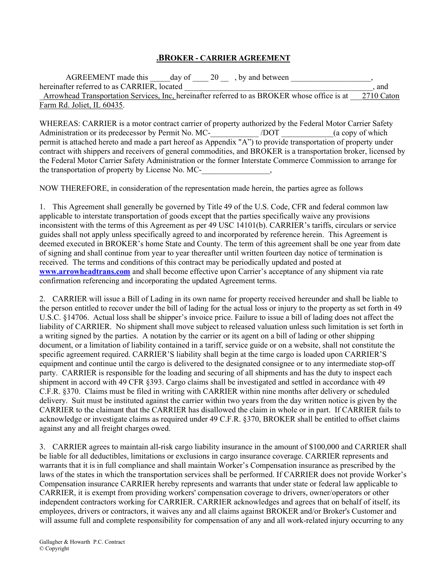## .BROKER - CARRIER AGREEMENT

AGREEMENT made this  $\frac{1}{20}$  day of  $\frac{20}{10}$ , by and between hereinafter referred to as CARRIER, located  $\blacksquare$ Arrowhead Transportation Services, Inc, hereinafter referred to as BROKER whose office is at  $2710$  Caton Farm Rd. Joliet, IL 60435.

WHEREAS: CARRIER is a motor contract carrier of property authorized by the Federal Motor Carrier Safety Administration or its predecessor by Permit No. MC-<br>
/DOT (a copy of which permit is attached hereto and made a part hereof as Appendix "A") to provide transportation of property under contract with shippers and receivers of general commodities, and BROKER is a transportation broker, licensed by the Federal Motor Carrier Safety Administration or the former Interstate Commerce Commission to arrange for the transportation of property by License No. MC-

NOW THEREFORE, in consideration of the representation made herein, the parties agree as follows

1. This Agreement shall generally be governed by Title 49 of the U.S. Code, CFR and federal common law applicable to interstate transportation of goods except that the parties specifically waive any provisions inconsistent with the terms of this Agreement as per 49 USC 14101(b). CARRIER's tariffs, circulars or service guides shall not apply unless specifically agreed to and incorporated by reference herein. This Agreement is deemed executed in BROKER's home State and County. The term of this agreement shall be one year from date of signing and shall continue from year to year thereafter until written fourteen day notice of termination is received. The terms and conditions of this contract may be periodically updated and posted at www.arrowheadtrans.com and shall become effective upon Carrier's acceptance of any shipment via rate confirmation referencing and incorporating the updated Agreement terms.

2. CARRIER will issue a Bill of Lading in its own name for property received hereunder and shall be liable to the person entitled to recover under the bill of lading for the actual loss or injury to the property as set forth in 49 U.S.C. §14706. Actual loss shall be shipper's invoice price. Failure to issue a bill of lading does not affect the liability of CARRIER. No shipment shall move subject to released valuation unless such limitation is set forth in a writing signed by the parties. A notation by the carrier or its agent on a bill of lading or other shipping document, or a limitation of liability contained in a tariff, service guide or on a website, shall not constitute the specific agreement required. CARRIER'S liability shall begin at the time cargo is loaded upon CARRIER'S equipment and continue until the cargo is delivered to the designated consignee or to any intermediate stop-off party. CARRIER is responsible for the loading and securing of all shipments and has the duty to inspect each shipment in accord with 49 CFR §393. Cargo claims shall be investigated and settled in accordance with 49 C.F.R. §370. Claims must be filed in writing with CARRIER within nine months after delivery or scheduled delivery. Suit must be instituted against the carrier within two years from the day written notice is given by the CARRIER to the claimant that the CARRIER has disallowed the claim in whole or in part. If CARRIER fails to acknowledge or investigate claims as required under 49 C.F.R. §370, BROKER shall be entitled to offset claims against any and all freight charges owed.

3. CARRIER agrees to maintain all-risk cargo liability insurance in the amount of \$100,000 and CARRIER shall be liable for all deductibles, limitations or exclusions in cargo insurance coverage. CARRIER represents and warrants that it is in full compliance and shall maintain Worker's Compensation insurance as prescribed by the laws of the states in which the transportation services shall be performed. If CARRIER does not provide Worker's Compensation insurance CARRIER hereby represents and warrants that under state or federal law applicable to CARRIER, it is exempt from providing workers' compensation coverage to drivers, owner/operators or other independent contractors working for CARRIER. CARRIER acknowledges and agrees that on behalf of itself, its employees, drivers or contractors, it waives any and all claims against BROKER and/or Broker's Customer and will assume full and complete responsibility for compensation of any and all work-related injury occurring to any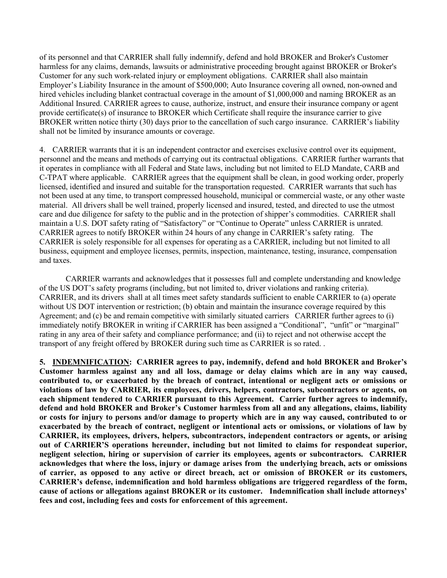of its personnel and that CARRIER shall fully indemnify, defend and hold BROKER and Broker's Customer harmless for any claims, demands, lawsuits or administrative proceeding brought against BROKER or Broker's Customer for any such work-related injury or employment obligations. CARRIER shall also maintain Employer's Liability Insurance in the amount of \$500,000; Auto Insurance covering all owned, non-owned and hired vehicles including blanket contractual coverage in the amount of \$1,000,000 and naming BROKER as an Additional Insured. CARRIER agrees to cause, authorize, instruct, and ensure their insurance company or agent provide certificate(s) of insurance to BROKER which Certificate shall require the insurance carrier to give BROKER written notice thirty (30) days prior to the cancellation of such cargo insurance. CARRIER's liability shall not be limited by insurance amounts or coverage.

4. CARRIER warrants that it is an independent contractor and exercises exclusive control over its equipment, personnel and the means and methods of carrying out its contractual obligations. CARRIER further warrants that it operates in compliance with all Federal and State laws, including but not limited to ELD Mandate, CARB and C-TPAT where applicable. CARRIER agrees that the equipment shall be clean, in good working order, properly licensed, identified and insured and suitable for the transportation requested. CARRIER warrants that such has not been used at any time, to transport compressed household, municipal or commercial waste, or any other waste material. All drivers shall be well trained, properly licensed and insured, tested, and directed to use the utmost care and due diligence for safety to the public and in the protection of shipper's commodities. CARRIER shall maintain a U.S. DOT safety rating of "Satisfactory" or "Continue to Operate" unless CARRIER is unrated. CARRIER agrees to notify BROKER within 24 hours of any change in CARRIER's safety rating. The CARRIER is solely responsible for all expenses for operating as a CARRIER, including but not limited to all business, equipment and employee licenses, permits, inspection, maintenance, testing, insurance, compensation and taxes.

 CARRIER warrants and acknowledges that it possesses full and complete understanding and knowledge of the US DOT's safety programs (including, but not limited to, driver violations and ranking criteria). CARRIER, and its drivers shall at all times meet safety standards sufficient to enable CARRIER to (a) operate without US DOT intervention or restriction; (b) obtain and maintain the insurance coverage required by this Agreement; and (c) be and remain competitive with similarly situated carriers CARRIER further agrees to (i) immediately notify BROKER in writing if CARRIER has been assigned a "Conditional", "unfit" or "marginal" rating in any area of their safety and compliance performance; and (ii) to reject and not otherwise accept the transport of any freight offered by BROKER during such time as CARRIER is so rated. .

5. INDEMNIFICATION: CARRIER agrees to pay, indemnify, defend and hold BROKER and Broker's Customer harmless against any and all loss, damage or delay claims which are in any way caused, contributed to, or exacerbated by the breach of contract, intentional or negligent acts or omissions or violations of law by CARRIER, its employees, drivers, helpers, contractors, subcontractors or agents, on each shipment tendered to CARRIER pursuant to this Agreement. Carrier further agrees to indemnify, defend and hold BROKER and Broker's Customer harmless from all and any allegations, claims, liability or costs for injury to persons and/or damage to property which are in any way caused, contributed to or exacerbated by the breach of contract, negligent or intentional acts or omissions, or violations of law by CARRIER, its employees, drivers, helpers, subcontractors, independent contractors or agents, or arising out of CARRIER'S operations hereunder, including but not limited to claims for respondeat superior, negligent selection, hiring or supervision of carrier its employees, agents or subcontractors. CARRIER acknowledges that where the loss, injury or damage arises from the underlying breach, acts or omissions of carrier, as opposed to any active or direct breach, act or omission of BROKER or its customers, CARRIER's defense, indemnification and hold harmless obligations are triggered regardless of the form, cause of actions or allegations against BROKER or its customer. Indemnification shall include attorneys' fees and cost, including fees and costs for enforcement of this agreement.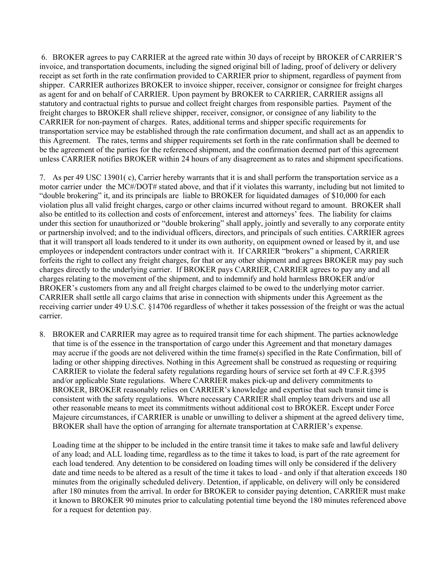6. BROKER agrees to pay CARRIER at the agreed rate within 30 days of receipt by BROKER of CARRIER'S invoice, and transportation documents, including the signed original bill of lading, proof of delivery or delivery receipt as set forth in the rate confirmation provided to CARRIER prior to shipment, regardless of payment from shipper. CARRIER authorizes BROKER to invoice shipper, receiver, consignor or consignee for freight charges as agent for and on behalf of CARRIER. Upon payment by BROKER to CARRIER, CARRIER assigns all statutory and contractual rights to pursue and collect freight charges from responsible parties. Payment of the freight charges to BROKER shall relieve shipper, receiver, consignor, or consignee of any liability to the CARRIER for non-payment of charges. Rates, additional terms and shipper specific requirements for transportation service may be established through the rate confirmation document, and shall act as an appendix to this Agreement. The rates, terms and shipper requirements set forth in the rate confirmation shall be deemed to be the agreement of the parties for the referenced shipment, and the confirmation deemed part of this agreement unless CARRIER notifies BROKER within 24 hours of any disagreement as to rates and shipment specifications.

7. As per 49 USC 13901( c), Carrier hereby warrants that it is and shall perform the transportation service as a motor carrier under the MC#/DOT# stated above, and that if it violates this warranty, including but not limited to "double brokering" it, and its principals are liable to BROKER for liquidated damages of \$10,000 for each violation plus all valid freight charges, cargo or other claims incurred without regard to amount. BROKER shall also be entitled to its collection and costs of enforcement, interest and attorneys' fees. The liability for claims under this section for unauthorized or "double brokering" shall apply, jointly and severally to any corporate entity or partnership involved; and to the individual officers, directors, and principals of such entities. CARRIER agrees that it will transport all loads tendered to it under its own authority, on equipment owned or leased by it, and use employees or independent contractors under contract with it. If CARRIER "brokers" a shipment, CARRIER forfeits the right to collect any freight charges, for that or any other shipment and agrees BROKER may pay such charges directly to the underlying carrier. If BROKER pays CARRIER, CARRIER agrees to pay any and all charges relating to the movement of the shipment, and to indemnify and hold harmless BROKER and/or BROKER's customers from any and all freight charges claimed to be owed to the underlying motor carrier. CARRIER shall settle all cargo claims that arise in connection with shipments under this Agreement as the receiving carrier under 49 U.S.C. §14706 regardless of whether it takes possession of the freight or was the actual carrier.

8. BROKER and CARRIER may agree as to required transit time for each shipment. The parties acknowledge that time is of the essence in the transportation of cargo under this Agreement and that monetary damages may accrue if the goods are not delivered within the time frame(s) specified in the Rate Confirmation, bill of lading or other shipping directives. Nothing in this Agreement shall be construed as requesting or requiring CARRIER to violate the federal safety regulations regarding hours of service set forth at 49 C.F.R.§395 and/or applicable State regulations. Where CARRIER makes pick-up and delivery commitments to BROKER, BROKER reasonably relies on CARRIER's knowledge and expertise that such transit time is consistent with the safety regulations. Where necessary CARRIER shall employ team drivers and use all other reasonable means to meet its commitments without additional cost to BROKER. Except under Force Majeure circumstances, if CARRIER is unable or unwilling to deliver a shipment at the agreed delivery time, BROKER shall have the option of arranging for alternate transportation at CARRIER's expense.

 Loading time at the shipper to be included in the entire transit time it takes to make safe and lawful delivery of any load; and ALL loading time, regardless as to the time it takes to load, is part of the rate agreement for each load tendered. Any detention to be considered on loading times will only be considered if the delivery date and time needs to be altered as a result of the time it takes to load - and only if that alteration exceeds 180 minutes from the originally scheduled delivery. Detention, if applicable, on delivery will only be considered after 180 minutes from the arrival. In order for BROKER to consider paying detention, CARRIER must make it known to BROKER 90 minutes prior to calculating potential time beyond the 180 minutes referenced above for a request for detention pay.